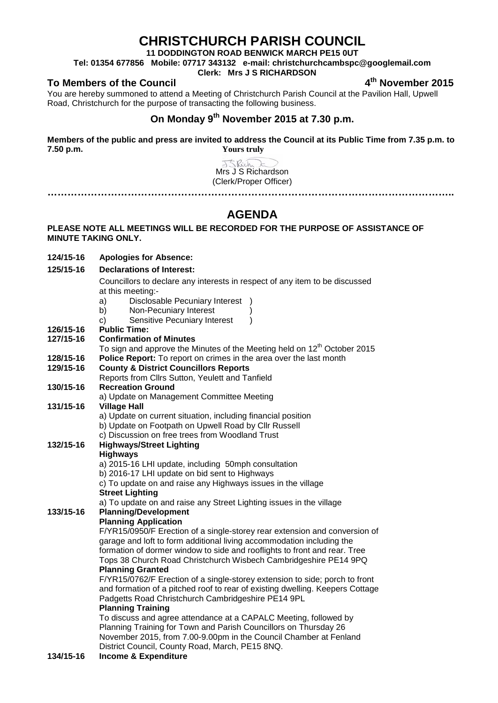### **CHRISTCHURCH PARISH COUNCIL**

**11 DODDINGTON ROAD BENWICK MARCH PE15 0UT**

**Tel: 01354 677856 Mobile: 07717 343132 e-mail: christchurchcambspc@googlemail.com**

### **Clerk: Mrs J S RICHARDSON**

### **To Members of the Council 4th November 2015**

You are hereby summoned to attend a Meeting of Christchurch Parish Council at the Pavilion Hall, Upwell Road, Christchurch for the purpose of transacting the following business.

## **On Monday 9th November 2015 at 7.30 p.m.**

**Members of the public and press are invited to address the Council at its Public Time from 7.35 p.m. to 7.50 p.m. Yours truly**

> J<Rich Mrs J S Richardson (Clerk/Proper Officer)

### **AGENDA**

**…………………………………………………………………………………………………………..**

#### **PLEASE NOTE ALL MEETINGS WILL BE RECORDED FOR THE PURPOSE OF ASSISTANCE OF MINUTE TAKING ONLY.**

- **124/15-16 Apologies for Absence:**
- **125/15-16 Declarations of Interest:**

Councillors to declare any interests in respect of any item to be discussed at this meeting:-

- a) Disclosable Pecuniary Interest )
- b) Non-Pecuniary Interest
- c) Sensitive Pecuniary Interest )
- **126/15-16 Public Time:**

| 127/15-16 | <b>Confirmation of Minutes</b>                                                |  |  |  |
|-----------|-------------------------------------------------------------------------------|--|--|--|
|           | To sign and approve the Minutes of the Meeting held on $12th$ October 2015    |  |  |  |
| 128/15-16 | Police Report: To report on crimes in the area over the last month            |  |  |  |
| 129/15-16 | <b>County &amp; District Councillors Reports</b>                              |  |  |  |
|           | Reports from Cllrs Sutton, Yeulett and Tanfield                               |  |  |  |
| 130/15-16 | <b>Recreation Ground</b>                                                      |  |  |  |
|           | a) Update on Management Committee Meeting                                     |  |  |  |
| 131/15-16 | <b>Village Hall</b>                                                           |  |  |  |
|           | a) Update on current situation, including financial position                  |  |  |  |
|           | b) Update on Footpath on Upwell Road by Cllr Russell                          |  |  |  |
|           | c) Discussion on free trees from Woodland Trust                               |  |  |  |
| 132/15-16 | <b>Highways/Street Lighting</b>                                               |  |  |  |
|           | <b>Highways</b>                                                               |  |  |  |
|           | a) 2015-16 LHI update, including 50mph consultation                           |  |  |  |
|           | b) 2016-17 LHI update on bid sent to Highways                                 |  |  |  |
|           | c) To update on and raise any Highways issues in the village                  |  |  |  |
|           | <b>Street Lighting</b>                                                        |  |  |  |
|           | a) To update on and raise any Street Lighting issues in the village           |  |  |  |
| 133/15-16 | <b>Planning/Development</b>                                                   |  |  |  |
|           | <b>Planning Application</b>                                                   |  |  |  |
|           | F/YR15/0950/F Erection of a single-storey rear extension and conversion of    |  |  |  |
|           | garage and loft to form additional living accommodation including the         |  |  |  |
|           | formation of dormer window to side and rooflights to front and rear. Tree     |  |  |  |
|           | Tops 38 Church Road Christchurch Wisbech Cambridgeshire PE14 9PQ              |  |  |  |
|           | <b>Planning Granted</b>                                                       |  |  |  |
|           | F/YR15/0762/F Erection of a single-storey extension to side; porch to front   |  |  |  |
|           | and formation of a pitched roof to rear of existing dwelling. Keepers Cottage |  |  |  |
|           | Padgetts Road Christchurch Cambridgeshire PE14 9PL                            |  |  |  |
|           | <b>Planning Training</b>                                                      |  |  |  |
|           | To discuss and agree attendance at a CAPALC Meeting, followed by              |  |  |  |
|           | Planning Training for Town and Parish Councillors on Thursday 26              |  |  |  |

# November 2015, from 7.00-9.00pm in the Council Chamber at Fenland

District Council, County Road, March, PE15 8NQ.